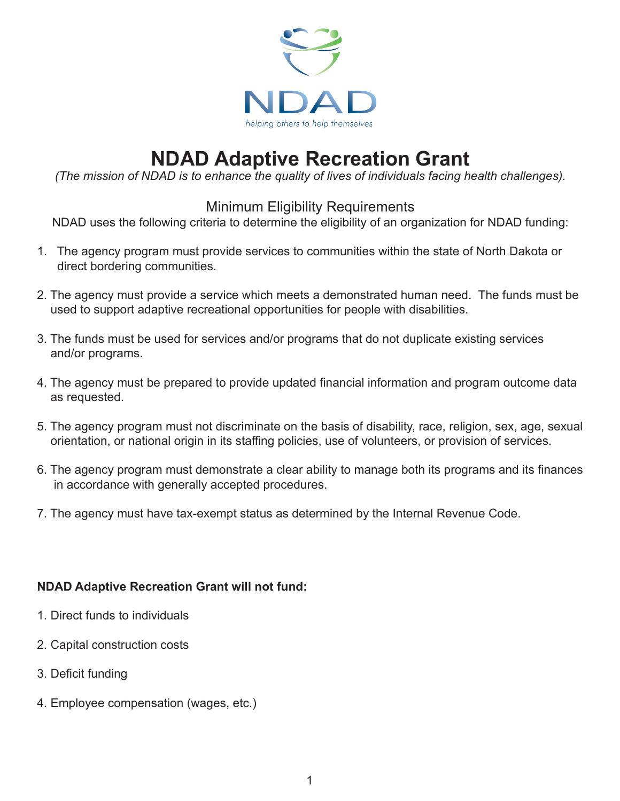

## **NDAD Adaptive Recreation Grant**

*(The mission of NDAD is to enhance the quality of lives of individuals facing health challenges).*

### Minimum Eligibility Requirements

NDAD uses the following criteria to determine the eligibility of an organization for NDAD funding:

- 1. The agency program must provide services to communities within the state of North Dakota or direct bordering communities.
- 2. The agency must provide a service which meets a demonstrated human need. The funds must be used to support adaptive recreational opportunities for people with disabilities.
- 3. The funds must be used for services and/or programs that do not duplicate existing services and/or programs.
- 4. The agency must be prepared to provide updated financial information and program outcome data as requested.
- 5. The agency program must not discriminate on the basis of disability, race, religion, sex, age, sexual orientation, or national origin in its staffing policies, use of volunteers, or provision of services.
- 6. The agency program must demonstrate a clear ability to manage both its programs and its finances in accordance with generally accepted procedures.
- 7. The agency must have tax-exempt status as determined by the Internal Revenue Code.

#### **NDAD Adaptive Recreation Grant will not fund:**

- 1. Direct funds to individuals
- 2. Capital construction costs
- 3. Deficit funding
- 4. Employee compensation (wages, etc.)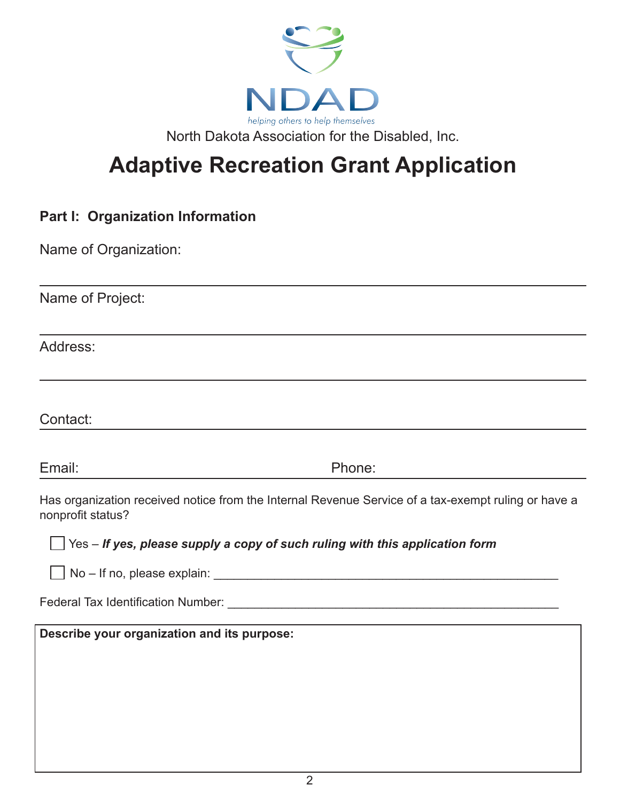

# **Adaptive Recreation Grant Application**

Name of Organization:

Name of Project:

Address:

Contact:

Email: Phone:

Has organization received notice from the Internal Revenue Service of a tax-exempt ruling or have a nonprofit status?

Yes – *If yes, please supply a copy of such ruling with this application form* 

No – If no, please explain: \_\_\_\_\_\_\_\_\_\_\_\_\_\_\_\_\_\_\_\_\_\_\_\_\_\_\_\_\_\_\_\_\_\_\_\_\_\_\_\_\_\_\_\_\_\_\_\_\_\_\_

Federal Tax Identification Number: \_\_\_\_\_\_\_\_\_\_\_\_\_\_\_\_\_\_\_\_\_\_\_\_\_\_\_\_\_\_\_\_\_\_\_\_\_\_\_\_\_\_\_\_\_\_\_\_\_

**Describe your organization and its purpose:**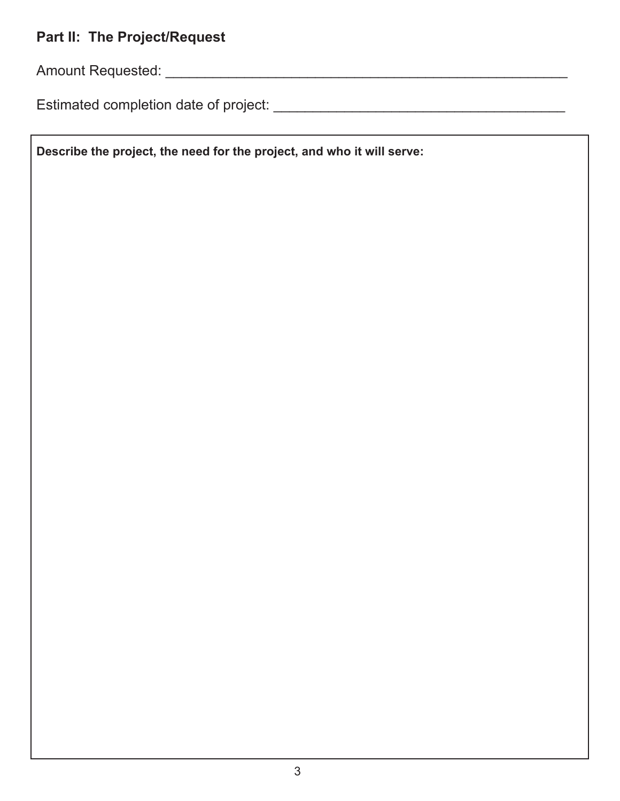## **Part II: The Project/Request**

Amount Requested: \_\_\_\_\_\_\_\_\_\_\_\_\_\_\_\_\_\_\_\_\_\_\_\_\_\_\_\_\_\_\_\_\_\_\_\_\_\_\_\_\_\_\_\_\_\_\_\_\_\_\_

Estimated completion date of project: \_\_\_\_\_\_\_\_\_\_\_\_\_\_\_\_\_\_\_\_\_\_\_\_\_\_\_\_\_\_\_\_\_\_\_\_\_

**Describe the project, the need for the project, and who it will serve:**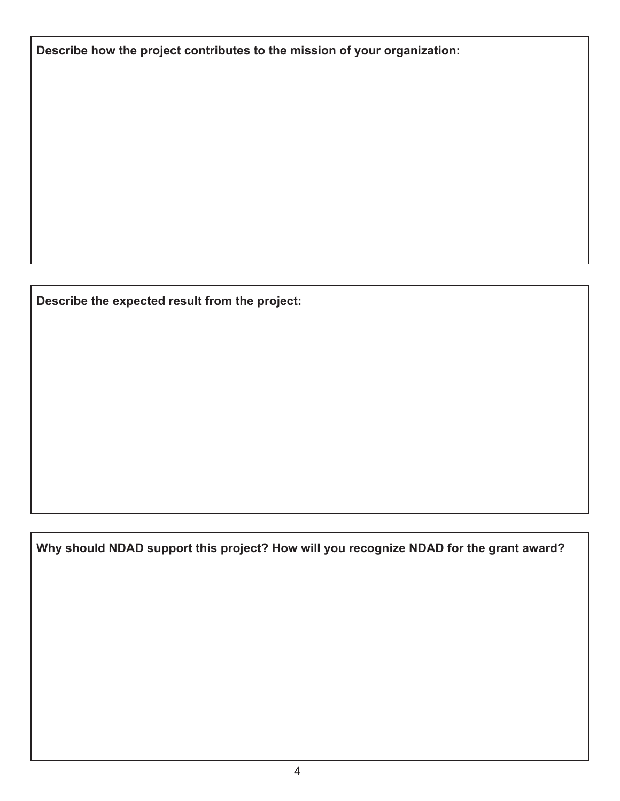**Describe how the project contributes to the mission of your organization:**

**Describe the expected result from the project:** 

**Why should NDAD support this project? How will you recognize NDAD for the grant award?**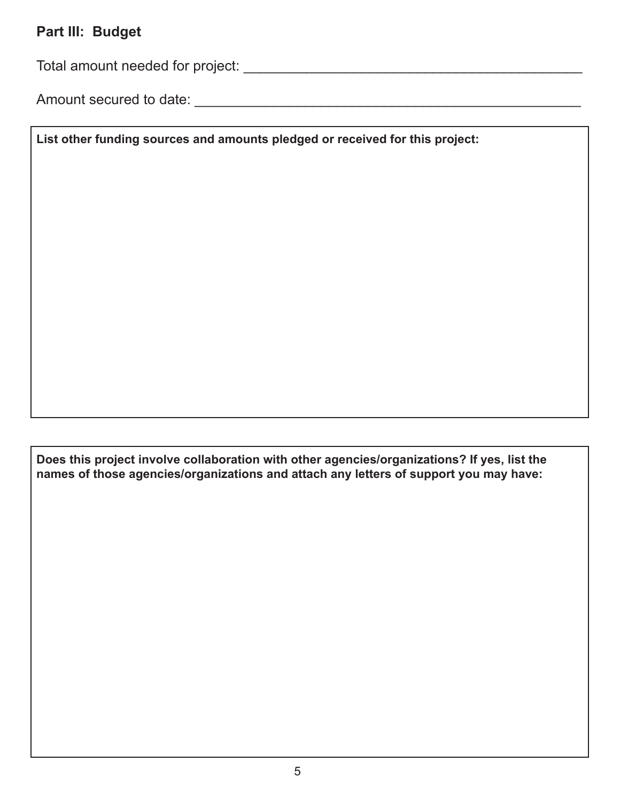### **Part III: Budget**

Total amount needed for project: \_\_\_\_\_\_\_\_\_\_\_\_\_\_\_\_\_\_\_\_\_\_\_\_\_\_\_\_\_\_\_\_\_\_\_\_\_\_\_\_\_\_\_

Amount secured to date: \_\_\_\_\_\_\_\_\_\_\_\_\_\_\_\_\_\_\_\_\_\_\_\_\_\_\_\_\_\_\_\_\_\_\_\_\_\_\_\_\_\_\_\_\_\_\_\_\_

**List other funding sources and amounts pledged or received for this project:**

**Does this project involve collaboration with other agencies/organizations? If yes, list the names of those agencies/organizations and attach any letters of support you may have:**